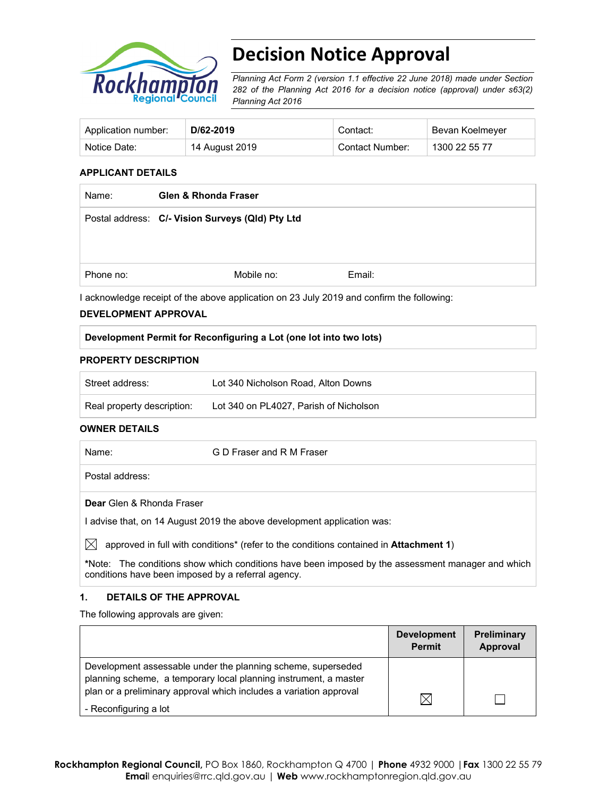

# **Decision Notice Approval**

*Planning Act Form 2 (version 1.1 effective 22 June 2018) made under Section 282 of the Planning Act 2016 for a decision notice (approval) under s63(2) Planning Act 2016*

| Application number: | D/62-2019      | Contact:        | Bevan Koelmeyer |
|---------------------|----------------|-----------------|-----------------|
| Notice Date:        | 14 August 2019 | Contact Number: | 1300 22 55 77   |

## **APPLICANT DETAILS**

| Postal address: C/- Vision Surveys (Qld) Pty Ltd |        |
|--------------------------------------------------|--------|
|                                                  |        |
|                                                  |        |
| Mobile no:                                       | Email: |
|                                                  |        |

I acknowledge receipt of the above application on 23 July 2019 and confirm the following:

## **DEVELOPMENT APPROVAL**

## **Development Permit for Reconfiguring a Lot (one lot into two lots)**

#### **PROPERTY DESCRIPTION**

| Street address:            | Lot 340 Nicholson Road, Alton Downs    |
|----------------------------|----------------------------------------|
| Real property description: | Lot 340 on PL4027, Parish of Nicholson |

#### **OWNER DETAILS**

| Name:           | G D Fraser and R M Fraser |  |
|-----------------|---------------------------|--|
| Postal address: |                           |  |

**Dear** Glen & Rhonda Fraser

I advise that, on 14 August 2019 the above development application was:

 $\boxtimes$  approved in full with conditions<sup>\*</sup> (refer to the conditions contained in **Attachment 1**)

**\***Note:The conditions show which conditions have been imposed by the assessment manager and which conditions have been imposed by a referral agency.

## **1. DETAILS OF THE APPROVAL**

The following approvals are given:

|                                                                                                                                                                                                        | <b>Development</b><br><b>Permit</b> | <b>Preliminary</b><br>Approval |
|--------------------------------------------------------------------------------------------------------------------------------------------------------------------------------------------------------|-------------------------------------|--------------------------------|
| Development assessable under the planning scheme, superseded<br>planning scheme, a temporary local planning instrument, a master<br>plan or a preliminary approval which includes a variation approval |                                     |                                |
| - Reconfiguring a lot                                                                                                                                                                                  |                                     |                                |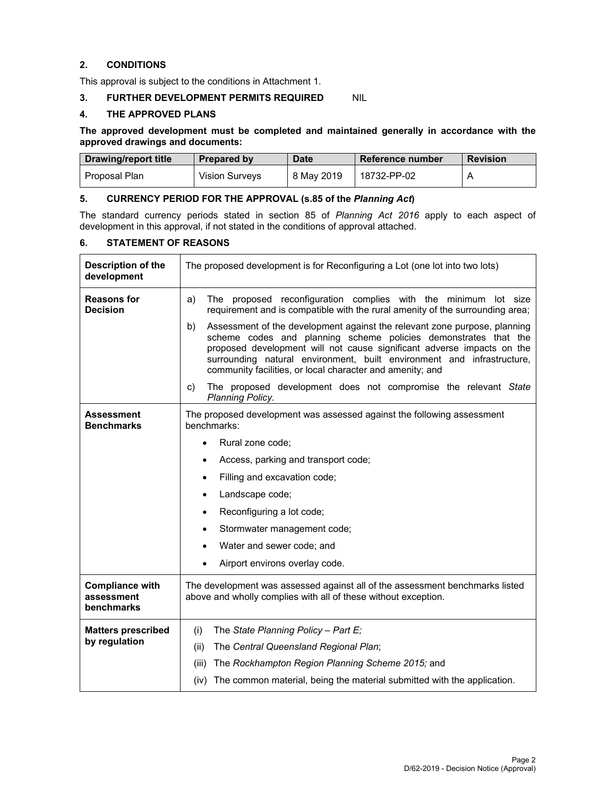## **2. CONDITIONS**

This approval is subject to the conditions in Attachment 1.

# **3. FURTHER DEVELOPMENT PERMITS REQUIRED** NIL

#### **4. THE APPROVED PLANS**

**The approved development must be completed and maintained generally in accordance with the approved drawings and documents:** 

| Drawing/report title | <b>Prepared by</b>    | <b>Date</b> | Reference number | <b>Revision</b> |
|----------------------|-----------------------|-------------|------------------|-----------------|
| Proposal Plan        | <b>Vision Survevs</b> | 8 May 2019  | 18732-PP-02      |                 |

# **5. CURRENCY PERIOD FOR THE APPROVAL (s.85 of the** *Planning Act***)**

The standard currency periods stated in section 85 of *Planning Act 2016* apply to each aspect of development in this approval, if not stated in the conditions of approval attached.

#### **6. STATEMENT OF REASONS**

| <b>Description of the</b><br>development           | The proposed development is for Reconfiguring a Lot (one lot into two lots)                                                                                                                                                                                                                                                                                                            |  |  |  |
|----------------------------------------------------|----------------------------------------------------------------------------------------------------------------------------------------------------------------------------------------------------------------------------------------------------------------------------------------------------------------------------------------------------------------------------------------|--|--|--|
| <b>Reasons for</b><br><b>Decision</b>              | The proposed reconfiguration complies with the minimum lot size<br>a)<br>requirement and is compatible with the rural amenity of the surrounding area;<br>Assessment of the development against the relevant zone purpose, planning<br>b)<br>scheme codes and planning scheme policies demonstrates that the<br>proposed development will not cause significant adverse impacts on the |  |  |  |
|                                                    | surrounding natural environment, built environment and infrastructure,<br>community facilities, or local character and amenity; and                                                                                                                                                                                                                                                    |  |  |  |
|                                                    | The proposed development does not compromise the relevant State<br>C)<br>Planning Policy.                                                                                                                                                                                                                                                                                              |  |  |  |
| <b>Assessment</b><br><b>Benchmarks</b>             | The proposed development was assessed against the following assessment<br>benchmarks:                                                                                                                                                                                                                                                                                                  |  |  |  |
|                                                    | Rural zone code;<br>$\bullet$                                                                                                                                                                                                                                                                                                                                                          |  |  |  |
|                                                    | Access, parking and transport code;<br>$\bullet$                                                                                                                                                                                                                                                                                                                                       |  |  |  |
|                                                    | Filling and excavation code;<br>$\bullet$                                                                                                                                                                                                                                                                                                                                              |  |  |  |
|                                                    | Landscape code;<br>$\bullet$                                                                                                                                                                                                                                                                                                                                                           |  |  |  |
|                                                    | Reconfiguring a lot code;<br>$\bullet$                                                                                                                                                                                                                                                                                                                                                 |  |  |  |
|                                                    | Stormwater management code;<br>$\bullet$                                                                                                                                                                                                                                                                                                                                               |  |  |  |
|                                                    | Water and sewer code; and<br>$\bullet$                                                                                                                                                                                                                                                                                                                                                 |  |  |  |
|                                                    | Airport environs overlay code.<br>$\bullet$                                                                                                                                                                                                                                                                                                                                            |  |  |  |
| <b>Compliance with</b><br>assessment<br>benchmarks | The development was assessed against all of the assessment benchmarks listed<br>above and wholly complies with all of these without exception.                                                                                                                                                                                                                                         |  |  |  |
| <b>Matters prescribed</b>                          | The State Planning Policy - Part E;<br>(i)                                                                                                                                                                                                                                                                                                                                             |  |  |  |
| by regulation                                      | The Central Queensland Regional Plan;<br>(ii)                                                                                                                                                                                                                                                                                                                                          |  |  |  |
|                                                    | The Rockhampton Region Planning Scheme 2015; and<br>(iii)                                                                                                                                                                                                                                                                                                                              |  |  |  |
|                                                    | The common material, being the material submitted with the application.<br>(iv)                                                                                                                                                                                                                                                                                                        |  |  |  |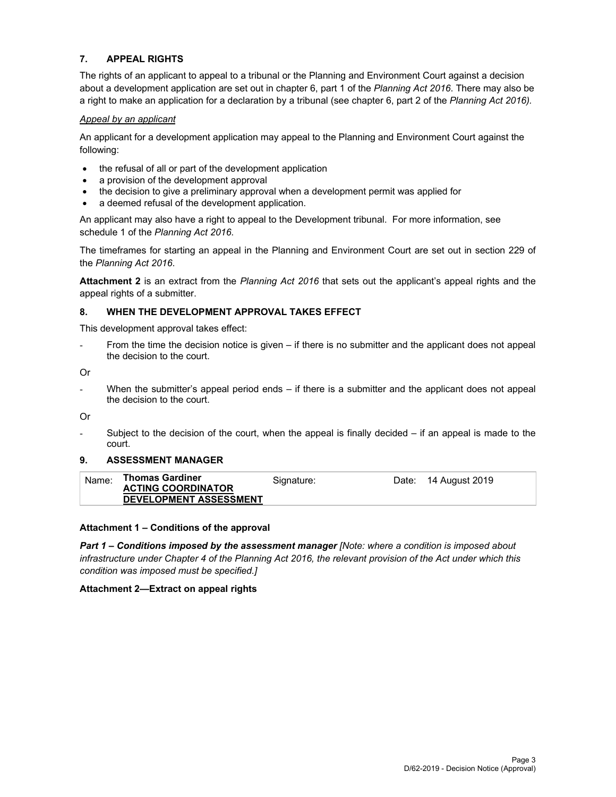# **7. APPEAL RIGHTS**

The rights of an applicant to appeal to a tribunal or the Planning and Environment Court against a decision about a development application are set out in chapter 6, part 1 of the *Planning Act 2016*. There may also be a right to make an application for a declaration by a tribunal (see chapter 6, part 2 of the *Planning Act 2016).*

#### *Appeal by an applicant*

An applicant for a development application may appeal to the Planning and Environment Court against the following:

- the refusal of all or part of the development application
- a provision of the development approval
- the decision to give a preliminary approval when a development permit was applied for
- a deemed refusal of the development application.

An applicant may also have a right to appeal to the Development tribunal. For more information, see schedule 1 of the *Planning Act 2016*.

The timeframes for starting an appeal in the Planning and Environment Court are set out in section 229 of the *Planning Act 2016*.

**Attachment 2** is an extract from the *Planning Act 2016* that sets out the applicant's appeal rights and the appeal rights of a submitter.

#### **8. WHEN THE DEVELOPMENT APPROVAL TAKES EFFECT**

This development approval takes effect:

From the time the decision notice is given – if there is no submitter and the applicant does not appeal the decision to the court.

Or

- When the submitter's appeal period ends – if there is a submitter and the applicant does not appeal the decision to the court.

Or

Subject to the decision of the court, when the appeal is finally decided  $-$  if an appeal is made to the court.

#### **9. ASSESSMENT MANAGER**

| <b>ACTING COORDINATOR</b><br><b>DEVELOPMENT ASSESSMENT</b> | Name: | Thomas Gardiner | Signature: | Date: 14 August 2019 |
|------------------------------------------------------------|-------|-----------------|------------|----------------------|
|                                                            |       |                 |            |                      |

## **Attachment 1 – Conditions of the approval**

*Part 1* **–** *Conditions imposed by the assessment manager [Note: where a condition is imposed about infrastructure under Chapter 4 of the Planning Act 2016, the relevant provision of the Act under which this condition was imposed must be specified.]*

## **Attachment 2—Extract on appeal rights**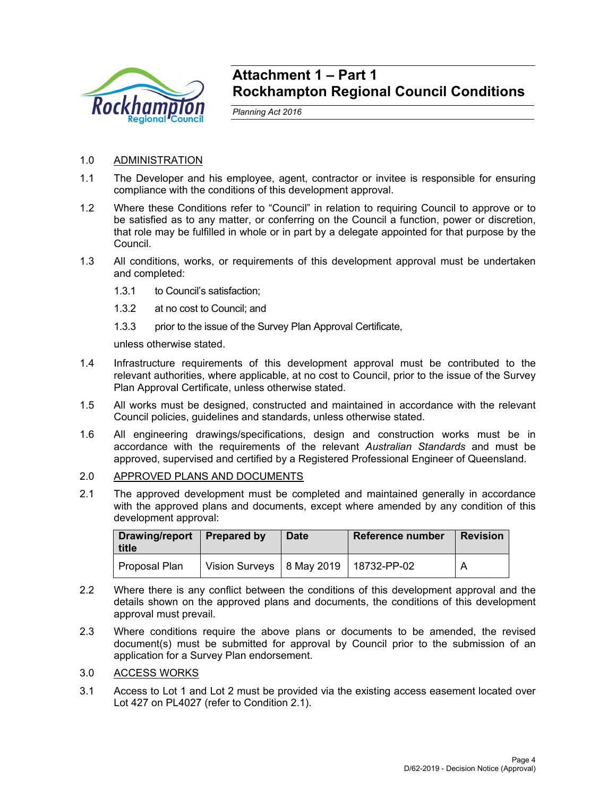

# **Attachment 1 – Part 1 Rockhampton Regional Council Conditions**

*Planning Act 2016* 

# 1.0 ADMINISTRATION

- 1.1 The Developer and his employee, agent, contractor or invitee is responsible for ensuring compliance with the conditions of this development approval.
- 1.2 Where these Conditions refer to "Council" in relation to requiring Council to approve or to be satisfied as to any matter, or conferring on the Council a function, power or discretion, that role may be fulfilled in whole or in part by a delegate appointed for that purpose by the Council.
- 1.3 All conditions, works, or requirements of this development approval must be undertaken and completed:
	- 1.3.1 to Council's satisfaction;
	- 1.3.2 at no cost to Council; and
	- 1.3.3 prior to the issue of the Survey Plan Approval Certificate,

unless otherwise stated.

- 1.4 Infrastructure requirements of this development approval must be contributed to the relevant authorities, where applicable, at no cost to Council, prior to the issue of the Survey Plan Approval Certificate, unless otherwise stated.
- 1.5 All works must be designed, constructed and maintained in accordance with the relevant Council policies, guidelines and standards, unless otherwise stated.
- 1.6 All engineering drawings/specifications, design and construction works must be in accordance with the requirements of the relevant *Australian Standards* and must be approved, supervised and certified by a Registered Professional Engineer of Queensland.
- 2.0 APPROVED PLANS AND DOCUMENTS
- 2.1 The approved development must be completed and maintained generally in accordance with the approved plans and documents, except where amended by any condition of this development approval:

| Drawing/report<br>title | <b>Prepared by</b>                        | <b>Date</b> | Reference number | <b>Revision</b> |
|-------------------------|-------------------------------------------|-------------|------------------|-----------------|
| Proposal Plan           | Vision Surveys   8 May 2019   18732-PP-02 |             |                  | А               |

- 2.2 Where there is any conflict between the conditions of this development approval and the details shown on the approved plans and documents, the conditions of this development approval must prevail.
- 2.3 Where conditions require the above plans or documents to be amended, the revised document(s) must be submitted for approval by Council prior to the submission of an application for a Survey Plan endorsement.
- 3.0 ACCESS WORKS
- 3.1 Access to Lot 1 and Lot 2 must be provided via the existing access easement located over Lot 427 on PL4027 (refer to Condition 2.1).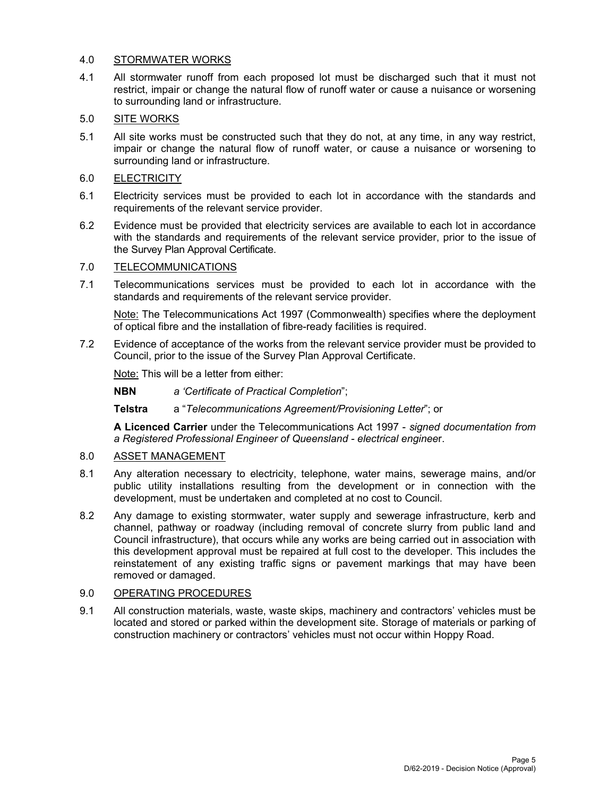# 4.0 STORMWATER WORKS

4.1 All stormwater runoff from each proposed lot must be discharged such that it must not restrict, impair or change the natural flow of runoff water or cause a nuisance or worsening to surrounding land or infrastructure.

# 5.0 SITE WORKS

- 5.1 All site works must be constructed such that they do not, at any time, in any way restrict, impair or change the natural flow of runoff water, or cause a nuisance or worsening to surrounding land or infrastructure.
- 6.0 ELECTRICITY
- 6.1 Electricity services must be provided to each lot in accordance with the standards and requirements of the relevant service provider.
- 6.2 Evidence must be provided that electricity services are available to each lot in accordance with the standards and requirements of the relevant service provider, prior to the issue of the Survey Plan Approval Certificate.

# 7.0 TELECOMMUNICATIONS

7.1 Telecommunications services must be provided to each lot in accordance with the standards and requirements of the relevant service provider.

Note: The Telecommunications Act 1997 (Commonwealth) specifies where the deployment of optical fibre and the installation of fibre-ready facilities is required.

7.2 Evidence of acceptance of the works from the relevant service provider must be provided to Council, prior to the issue of the Survey Plan Approval Certificate.

Note: This will be a letter from either:

**NBN** *a 'Certificate of Practical Completion*";

**Telstra** a "*Telecommunications Agreement/Provisioning Letter*"; or

**A Licenced Carrier** under the Telecommunications Act 1997 - *signed documentation from a Registered Professional Engineer of Queensland - electrical enginee*r.

# 8.0 ASSET MANAGEMENT

- 8.1 Any alteration necessary to electricity, telephone, water mains, sewerage mains, and/or public utility installations resulting from the development or in connection with the development, must be undertaken and completed at no cost to Council.
- 8.2 Any damage to existing stormwater, water supply and sewerage infrastructure, kerb and channel, pathway or roadway (including removal of concrete slurry from public land and Council infrastructure), that occurs while any works are being carried out in association with this development approval must be repaired at full cost to the developer. This includes the reinstatement of any existing traffic signs or pavement markings that may have been removed or damaged.

# 9.0 OPERATING PROCEDURES

9.1 All construction materials, waste, waste skips, machinery and contractors' vehicles must be located and stored or parked within the development site. Storage of materials or parking of construction machinery or contractors' vehicles must not occur within Hoppy Road.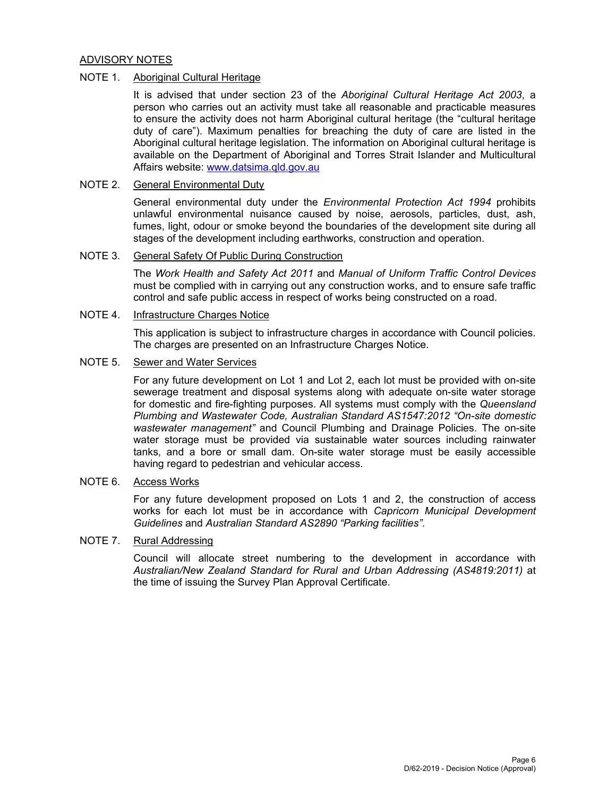## ADVISORY NOTES

## NOTE 1. Aboriginal Cultural Heritage

It is advised that under section 23 of the *Aboriginal Cultural Heritage Act 2003*, a person who carries out an activity must take all reasonable and practicable measures to ensure the activity does not harm Aboriginal cultural heritage (the "cultural heritage duty of care"). Maximum penalties for breaching the duty of care are listed in the Aboriginal cultural heritage legislation. The information on Aboriginal cultural heritage is available on the Department of Aboriginal and Torres Strait Islander and Multicultural Affairs website: www.datsima.qld.gov.au

# NOTE 2. General Environmental Duty

General environmental duty under the *Environmental Protection Act 1994* prohibits unlawful environmental nuisance caused by noise, aerosols, particles, dust, ash, fumes, light, odour or smoke beyond the boundaries of the development site during all stages of the development including earthworks, construction and operation.

# NOTE 3. General Safety Of Public During Construction

The *Work Health and Safety Act 2011* and *Manual of Uniform Traffic Control Devices* must be complied with in carrying out any construction works, and to ensure safe traffic control and safe public access in respect of works being constructed on a road.

# NOTE 4. Infrastructure Charges Notice

This application is subject to infrastructure charges in accordance with Council policies. The charges are presented on an Infrastructure Charges Notice.

# NOTE 5. Sewer and Water Services

For any future development on Lot 1 and Lot 2, each lot must be provided with on-site sewerage treatment and disposal systems along with adequate on-site water storage for domestic and fire-fighting purposes. All systems must comply with the *Queensland Plumbing and Wastewater Code, Australian Standard AS1547:2012 "On-site domestic wastewater management"* and Council Plumbing and Drainage Policies. The on-site water storage must be provided via sustainable water sources including rainwater tanks, and a bore or small dam. On-site water storage must be easily accessible having regard to pedestrian and vehicular access.

# NOTE 6. Access Works

For any future development proposed on Lots 1 and 2, the construction of access works for each lot must be in accordance with *Capricorn Municipal Development Guidelines* and *Australian Standard AS2890 "Parking facilities"*.

## NOTE 7. Rural Addressing

Council will allocate street numbering to the development in accordance with *Australian/New Zealand Standard for Rural and Urban Addressing (AS4819:2011)* at the time of issuing the Survey Plan Approval Certificate.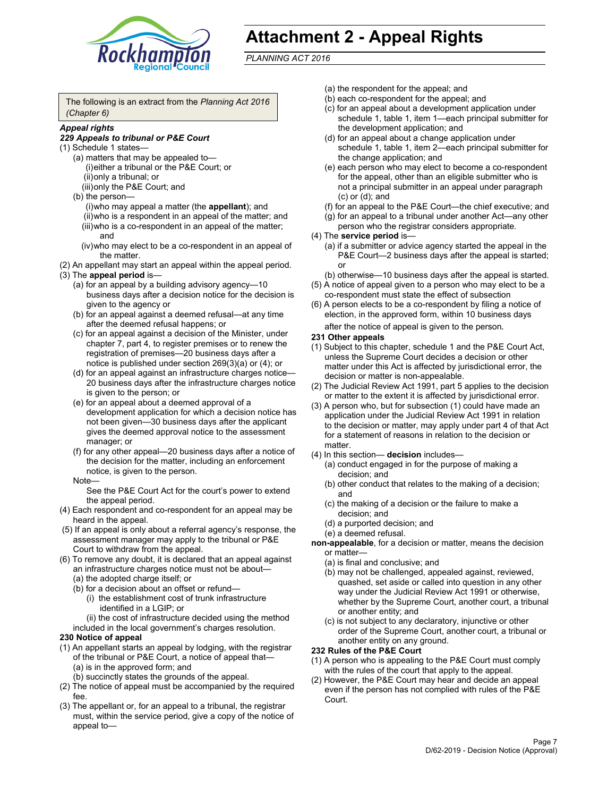

# **Attachment 2 - Appeal Rights**

*PLANNING ACT 2016*

The following is an extract from the *Planning Act 2016 (Chapter 6)*

# *Appeal rights*

#### *229 Appeals to tribunal or P&E Court*

- (1) Schedule 1 states—
	- (a) matters that may be appealed to— (i) either a tribunal or the P&E Court; or (ii) only a tribunal; or (iii) only the P&E Court; and
	- (b) the person—
		- (i) who may appeal a matter (the **appellant**); and
		- (ii) who is a respondent in an appeal of the matter; and (iii) who is a co-respondent in an appeal of the matter; and
		- (iv) who may elect to be a co-respondent in an appeal of the matter.
- (2) An appellant may start an appeal within the appeal period.
- (3) The **appeal period** is—
	- (a) for an appeal by a building advisory agency—10 business days after a decision notice for the decision is given to the agency or
	- (b) for an appeal against a deemed refusal—at any time after the deemed refusal happens; or
	- (c) for an appeal against a decision of the Minister, under chapter 7, part 4, to register premises or to renew the registration of premises—20 business days after a notice is published under section 269(3)(a) or (4); or
	- (d) for an appeal against an infrastructure charges notice— 20 business days after the infrastructure charges notice is given to the person; or
	- (e) for an appeal about a deemed approval of a development application for which a decision notice has not been given—30 business days after the applicant gives the deemed approval notice to the assessment manager; or
	- (f) for any other appeal—20 business days after a notice of the decision for the matter, including an enforcement notice, is given to the person.

#### Note—

See the P&E Court Act for the court's power to extend the appeal period.

- (4) Each respondent and co-respondent for an appeal may be heard in the appeal.
- (5) If an appeal is only about a referral agency's response, the assessment manager may apply to the tribunal or P&E Court to withdraw from the appeal.
- (6) To remove any doubt, it is declared that an appeal against an infrastructure charges notice must not be about— (a) the adopted charge itself; or
	- (b) for a decision about an offset or refund—
		- (i) the establishment cost of trunk infrastructure identified in a LGIP; or
		- (ii) the cost of infrastructure decided using the method
	- included in the local government's charges resolution.

# **230 Notice of appeal**

- (1) An appellant starts an appeal by lodging, with the registrar of the tribunal or P&E Court, a notice of appeal that— (a) is in the approved form; and
	- (b) succinctly states the grounds of the appeal.
- (2) The notice of appeal must be accompanied by the required fee.
- (3) The appellant or, for an appeal to a tribunal, the registrar must, within the service period, give a copy of the notice of appeal to—
- (a) the respondent for the appeal; and
- (b) each co-respondent for the appeal; and
- (c) for an appeal about a development application under schedule 1, table 1, item 1—each principal submitter for the development application; and
- (d) for an appeal about a change application under schedule 1, table 1, item 2—each principal submitter for the change application; and
- (e) each person who may elect to become a co-respondent for the appeal, other than an eligible submitter who is not a principal submitter in an appeal under paragraph (c) or (d); and
- (f) for an appeal to the P&E Court—the chief executive; and
- (g) for an appeal to a tribunal under another Act—any other person who the registrar considers appropriate.
- (4) The **service period** is—
	- (a) if a submitter or advice agency started the appeal in the P&E Court-2 business days after the appeal is started; or
	- (b) otherwise—10 business days after the appeal is started.
- (5) A notice of appeal given to a person who may elect to be a co-respondent must state the effect of subsection
- (6) A person elects to be a co-respondent by filing a notice of election, in the approved form, within 10 business days
	- after the notice of appeal is given to the person*.*
- **231 Other appeals**
- (1) Subject to this chapter, schedule 1 and the P&E Court Act, unless the Supreme Court decides a decision or other matter under this Act is affected by jurisdictional error, the decision or matter is non-appealable.
- (2) The Judicial Review Act 1991, part 5 applies to the decision or matter to the extent it is affected by jurisdictional error.
- (3) A person who, but for subsection (1) could have made an application under the Judicial Review Act 1991 in relation to the decision or matter, may apply under part 4 of that Act for a statement of reasons in relation to the decision or matter.
- (4) In this section— **decision** includes—
	- (a) conduct engaged in for the purpose of making a decision; and
	- (b) other conduct that relates to the making of a decision; and
	- (c) the making of a decision or the failure to make a decision; and
	- (d) a purported decision; and
	- (e) a deemed refusal.

**non-appealable**, for a decision or matter, means the decision or matter—

- (a) is final and conclusive; and
- (b) may not be challenged, appealed against, reviewed, quashed, set aside or called into question in any other way under the Judicial Review Act 1991 or otherwise, whether by the Supreme Court, another court, a tribunal or another entity; and
- (c) is not subject to any declaratory, injunctive or other order of the Supreme Court, another court, a tribunal or another entity on any ground.

#### **232 Rules of the P&E Court**

- (1) A person who is appealing to the P&E Court must comply with the rules of the court that apply to the appeal.
- (2) However, the P&E Court may hear and decide an appeal even if the person has not complied with rules of the P&E Court.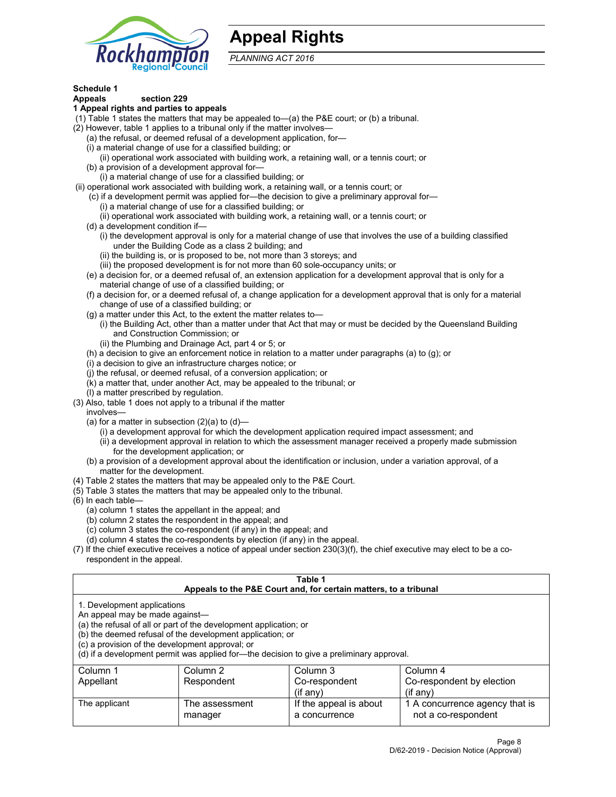

# **Appeal Rights**

*PLANNING ACT 2016*

# **Schedule 1**

# **Appeals section 229**

#### **1 Appeal rights and parties to appeals**

- (1) Table 1 states the matters that may be appealed to—(a) the P&E court; or (b) a tribunal.
- (2) However, table 1 applies to a tribunal only if the matter involves—
	- (a) the refusal, or deemed refusal of a development application, for—
	- (i) a material change of use for a classified building; or
	- (ii) operational work associated with building work, a retaining wall, or a tennis court; or
	- (b) a provision of a development approval for—
	- (i) a material change of use for a classified building; or
- (ii) operational work associated with building work, a retaining wall, or a tennis court; or
	- (c) if a development permit was applied for—the decision to give a preliminary approval for— (i) a material change of use for a classified building; or
	- (ii) operational work associated with building work, a retaining wall, or a tennis court; or
	- (d) a development condition if—
		- (i) the development approval is only for a material change of use that involves the use of a building classified under the Building Code as a class 2 building; and
		- (ii) the building is, or is proposed to be, not more than 3 storeys; and
		- (iii) the proposed development is for not more than 60 sole-occupancy units; or
	- (e) a decision for, or a deemed refusal of, an extension application for a development approval that is only for a material change of use of a classified building; or
	- (f) a decision for, or a deemed refusal of, a change application for a development approval that is only for a material change of use of a classified building; or
	- (g) a matter under this Act, to the extent the matter relates to—
		- (i) the Building Act, other than a matter under that Act that may or must be decided by the Queensland Building and Construction Commission; or
		- (ii) the Plumbing and Drainage Act, part 4 or 5; or
	- (h) a decision to give an enforcement notice in relation to a matter under paragraphs (a) to (g); or
	- (i) a decision to give an infrastructure charges notice; or
	- (j) the refusal, or deemed refusal, of a conversion application; or
	- (k) a matter that, under another Act, may be appealed to the tribunal; or
	- (l) a matter prescribed by regulation.
- (3) Also, table 1 does not apply to a tribunal if the matter
	- involves—
		- (a) for a matter in subsection  $(2)(a)$  to  $(d)$ 
			- (i) a development approval for which the development application required impact assessment; and
			- (ii) a development approval in relation to which the assessment manager received a properly made submission for the development application; or
	- (b) a provision of a development approval about the identification or inclusion, under a variation approval, of a matter for the development.
- (4) Table 2 states the matters that may be appealed only to the P&E Court.
- (5) Table 3 states the matters that may be appealed only to the tribunal.
- (6) In each table—
	- (a) column 1 states the appellant in the appeal; and
	- (b) column 2 states the respondent in the appeal; and
	- (c) column 3 states the co-respondent (if any) in the appeal; and
	- (d) column 4 states the co-respondents by election (if any) in the appeal.
- (7) If the chief executive receives a notice of appeal under section 230(3)(f), the chief executive may elect to be a corespondent in the appeal.

|                                                                                                                                                                                                                                                                                                                                                | Table 1<br>Appeals to the P&E Court and, for certain matters, to a tribunal |                                         |                                                       |  |  |  |
|------------------------------------------------------------------------------------------------------------------------------------------------------------------------------------------------------------------------------------------------------------------------------------------------------------------------------------------------|-----------------------------------------------------------------------------|-----------------------------------------|-------------------------------------------------------|--|--|--|
| 1. Development applications<br>An appeal may be made against-<br>(a) the refusal of all or part of the development application; or<br>(b) the deemed refusal of the development application; or<br>(c) a provision of the development approval; or<br>(d) if a development permit was applied for-the decision to give a preliminary approval. |                                                                             |                                         |                                                       |  |  |  |
| Column 1                                                                                                                                                                                                                                                                                                                                       | Column 3<br>Column 4<br>Column 2                                            |                                         |                                                       |  |  |  |
| Appellant                                                                                                                                                                                                                                                                                                                                      | Respondent                                                                  | Co-respondent                           | Co-respondent by election                             |  |  |  |
|                                                                                                                                                                                                                                                                                                                                                |                                                                             | $(if$ any)                              | $($ if any $)$                                        |  |  |  |
| The applicant                                                                                                                                                                                                                                                                                                                                  | The assessment<br>manager                                                   | If the appeal is about<br>a concurrence | 1 A concurrence agency that is<br>not a co-respondent |  |  |  |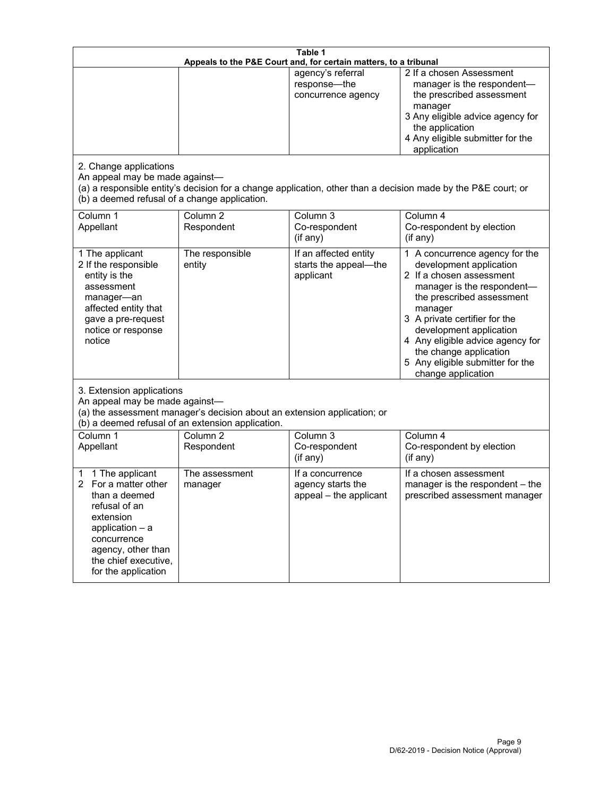| Table 1<br>Appeals to the P&E Court and, for certain matters, to a tribunal                                                                                                                             |                                                                                                                               |                                                                 |                                                                                                                                                                                                                                                                                                                                                 |  |
|---------------------------------------------------------------------------------------------------------------------------------------------------------------------------------------------------------|-------------------------------------------------------------------------------------------------------------------------------|-----------------------------------------------------------------|-------------------------------------------------------------------------------------------------------------------------------------------------------------------------------------------------------------------------------------------------------------------------------------------------------------------------------------------------|--|
| 2. Change applications<br>An appeal may be made against-<br>(b) a deemed refusal of a change application.                                                                                               |                                                                                                                               | agency's referral<br>response-the<br>concurrence agency         | 2 If a chosen Assessment<br>manager is the respondent-<br>the prescribed assessment<br>manager<br>3 Any eligible advice agency for<br>the application<br>4 Any eligible submitter for the<br>application<br>(a) a responsible entity's decision for a change application, other than a decision made by the P&E court; or                       |  |
| Column 1<br>Appellant                                                                                                                                                                                   | Column <sub>2</sub><br>Respondent                                                                                             | Column 3<br>Co-respondent<br>(if any)                           | Column 4<br>Co-respondent by election<br>(if any)                                                                                                                                                                                                                                                                                               |  |
| 1 The applicant<br>2 If the responsible<br>entity is the<br>assessment<br>manager-an<br>affected entity that<br>gave a pre-request<br>notice or response<br>notice                                      | The responsible<br>entity                                                                                                     | If an affected entity<br>starts the appeal-the<br>applicant     | 1 A concurrence agency for the<br>development application<br>2 If a chosen assessment<br>manager is the respondent-<br>the prescribed assessment<br>manager<br>3 A private certifier for the<br>development application<br>4 Any eligible advice agency for<br>the change application<br>5 Any eligible submitter for the<br>change application |  |
| 3. Extension applications<br>An appeal may be made against-                                                                                                                                             | (a) the assessment manager's decision about an extension application; or<br>(b) a deemed refusal of an extension application. |                                                                 |                                                                                                                                                                                                                                                                                                                                                 |  |
| Column 1<br>Appellant                                                                                                                                                                                   | Column <sub>2</sub><br>Respondent                                                                                             | Column 3<br>Co-respondent<br>(if any)                           | Column 4<br>Co-respondent by election<br>(if any)                                                                                                                                                                                                                                                                                               |  |
| 1 The applicant<br>1<br>For a matter other<br>2<br>than a deemed<br>refusal of an<br>extension<br>application $-$ a<br>concurrence<br>agency, other than<br>the chief executive,<br>for the application | The assessment<br>manager                                                                                                     | If a concurrence<br>agency starts the<br>appeal - the applicant | If a chosen assessment<br>manager is the respondent - the<br>prescribed assessment manager                                                                                                                                                                                                                                                      |  |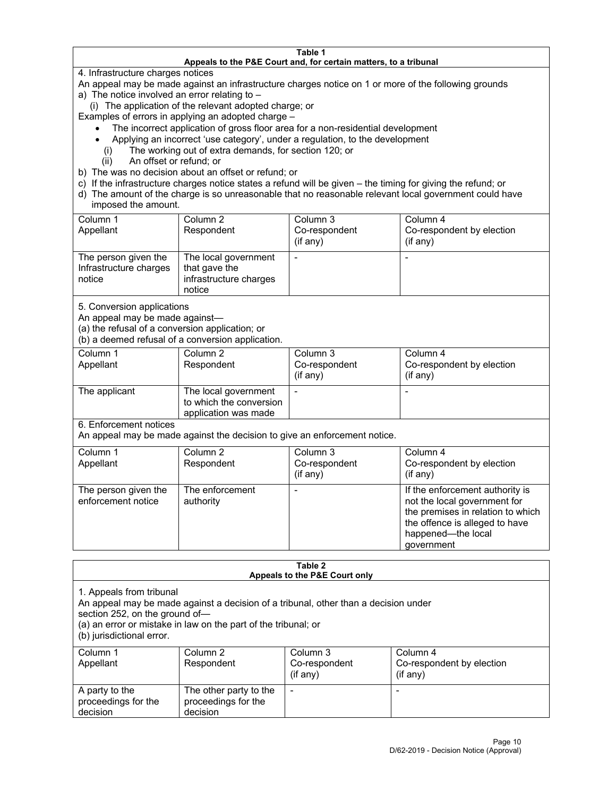#### **Table 1 Appeals to the P&E Court and, for certain matters, to a tribunal**

4. Infrastructure charges notices

An appeal may be made against an infrastructure charges notice on 1 or more of the following grounds

- a) The notice involved an error relating to
	- (i) The application of the relevant adopted charge; or

Examples of errors in applying an adopted charge –

- The incorrect application of gross floor area for a non-residential development
- Applying an incorrect 'use category', under a regulation, to the development
	- (i) The working out of extra demands, for section 120; or
	- (ii) An offset or refund; or
- b) The was no decision about an offset or refund; or
- c) If the infrastructure charges notice states a refund will be given the timing for giving the refund; or
- d) The amount of the charge is so unreasonable that no reasonable relevant local government could have imposed the amount.

| Column 1<br>Appellant                                    | Column 2<br>Respondent                                                    | Column 3<br>Co-respondent<br>$($ if any $)$ | Column 4<br>Co-respondent by election<br>$($ if any $)$ |
|----------------------------------------------------------|---------------------------------------------------------------------------|---------------------------------------------|---------------------------------------------------------|
| The person given the<br>Infrastructure charges<br>notice | The local government<br>that gave the<br>infrastructure charges<br>notice |                                             |                                                         |

5. Conversion applications

An appeal may be made against—

(a) the refusal of a conversion application; or

(b) a deemed refusal of a conversion application.

| Column 1      | Column 2                | Column 3       | Column 4                  |
|---------------|-------------------------|----------------|---------------------------|
| Appellant     | Respondent              | Co-respondent  | Co-respondent by election |
|               |                         | $($ if any $)$ | $($ if any $)$            |
|               |                         |                |                           |
| The applicant | The local government    |                |                           |
|               | to which the conversion |                |                           |
|               | application was made    |                |                           |

6. Enforcement notices

An appeal may be made against the decision to give an enforcement notice.

| Column 1<br>Appellant                      | Column 2<br>Respondent       | Column 3<br>Co-respondent<br>(if any) | Column 4<br>Co-respondent by election<br>$($ if any $)$                                                                                                                    |
|--------------------------------------------|------------------------------|---------------------------------------|----------------------------------------------------------------------------------------------------------------------------------------------------------------------------|
| The person given the<br>enforcement notice | The enforcement<br>authority |                                       | If the enforcement authority is<br>not the local government for<br>the premises in relation to which<br>the offence is alleged to have<br>happened-the local<br>government |

| Table 2<br>Appeals to the P&E Court only                                                                                                                                                                                                         |                                                           |                             |                                             |  |
|--------------------------------------------------------------------------------------------------------------------------------------------------------------------------------------------------------------------------------------------------|-----------------------------------------------------------|-----------------------------|---------------------------------------------|--|
| 1. Appeals from tribunal<br>An appeal may be made against a decision of a tribunal, other than a decision under<br>section 252, on the ground of-<br>(a) an error or mistake in law on the part of the tribunal; or<br>(b) jurisdictional error. |                                                           |                             |                                             |  |
| Column 1                                                                                                                                                                                                                                         | Column 2                                                  | Column 3                    | Column 4                                    |  |
| Appellant                                                                                                                                                                                                                                        | Respondent                                                | Co-respondent<br>$(if$ any) | Co-respondent by election<br>$($ if any $)$ |  |
| A party to the<br>proceedings for the<br>decision                                                                                                                                                                                                | The other party to the<br>proceedings for the<br>decision |                             |                                             |  |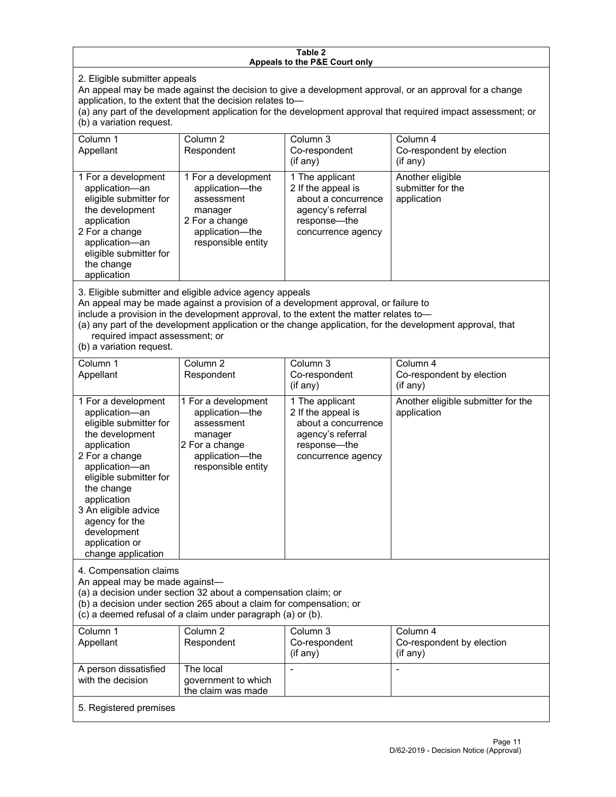#### **Table 2 Appeals to the P&E Court only**

2. Eligible submitter appeals

An appeal may be made against the decision to give a development approval, or an approval for a change application, to the extent that the decision relates to—

(a) any part of the development application for the development approval that required impact assessment; or (b) a variation request.

| Column 1<br>Appellant                                                                                                                                                                                                                                                                                                                                                                                              | Column <sub>2</sub><br>Respondent                                                                                          | Column 3<br>Co-respondent                                                                                               | Column <sub>4</sub><br>Co-respondent by election     |
|--------------------------------------------------------------------------------------------------------------------------------------------------------------------------------------------------------------------------------------------------------------------------------------------------------------------------------------------------------------------------------------------------------------------|----------------------------------------------------------------------------------------------------------------------------|-------------------------------------------------------------------------------------------------------------------------|------------------------------------------------------|
|                                                                                                                                                                                                                                                                                                                                                                                                                    |                                                                                                                            | $($ if any $)$                                                                                                          | (if any)                                             |
| 1 For a development<br>application-an<br>eligible submitter for<br>the development<br>application<br>2 For a change<br>application-an<br>eligible submitter for<br>the change<br>application                                                                                                                                                                                                                       | 1 For a development<br>application-the<br>assessment<br>manager<br>2 For a change<br>application-the<br>responsible entity | 1 The applicant<br>2 If the appeal is<br>about a concurrence<br>agency's referral<br>response-the<br>concurrence agency | Another eligible<br>submitter for the<br>application |
| 3. Eligible submitter and eligible advice agency appeals<br>An appeal may be made against a provision of a development approval, or failure to<br>include a provision in the development approval, to the extent the matter relates to-<br>(a) any part of the development application or the change application, for the development approval, that<br>required impact assessment; or<br>(b) a variation request. |                                                                                                                            |                                                                                                                         |                                                      |
| Column 1<br>Appellant                                                                                                                                                                                                                                                                                                                                                                                              | Column <sub>2</sub><br>Respondent                                                                                          | Column 3<br>Co-respondent<br>(if any)                                                                                   | Column 4<br>Co-respondent by election<br>(if any)    |
| 1 For a development<br>application-an<br>eligible submitter for<br>the development<br>application<br>2 For a change<br>application-an<br>eligible submitter for<br>the change<br>application<br>3 An eligible advice<br>agency for the<br>development<br>application or<br>change application                                                                                                                      | 1 For a development<br>application-the<br>assessment<br>manager<br>2 For a change<br>application-the<br>responsible entity | 1 The applicant<br>2 If the appeal is<br>about a concurrence<br>agency's referral<br>response-the<br>concurrence agency | Another eligible submitter for the<br>application    |
| 4. Compensation claims<br>An appeal may be made against-<br>(a) a decision under section 32 about a compensation claim; or<br>(b) a decision under section 265 about a claim for compensation; or<br>(c) a deemed refusal of a claim under paragraph (a) or (b).                                                                                                                                                   |                                                                                                                            |                                                                                                                         |                                                      |
| Column 1<br>Appellant                                                                                                                                                                                                                                                                                                                                                                                              | Column <sub>2</sub><br>Respondent                                                                                          | Column 3<br>Co-respondent<br>(if any)                                                                                   | Column 4<br>Co-respondent by election<br>(if any)    |
| A person dissatisfied<br>with the decision                                                                                                                                                                                                                                                                                                                                                                         | The local<br>government to which<br>the claim was made                                                                     |                                                                                                                         |                                                      |
| 5. Registered premises                                                                                                                                                                                                                                                                                                                                                                                             |                                                                                                                            |                                                                                                                         |                                                      |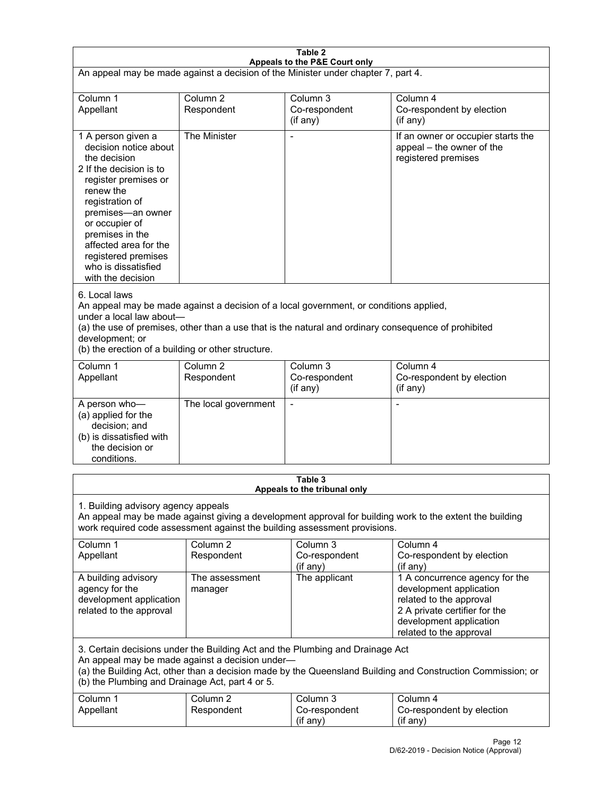| Table 2                                                                                                                                                                                                                                                                                                              |                                   |                                                  |                                                                                                                                                                             |  |
|----------------------------------------------------------------------------------------------------------------------------------------------------------------------------------------------------------------------------------------------------------------------------------------------------------------------|-----------------------------------|--------------------------------------------------|-----------------------------------------------------------------------------------------------------------------------------------------------------------------------------|--|
| Appeals to the P&E Court only<br>An appeal may be made against a decision of the Minister under chapter 7, part 4.                                                                                                                                                                                                   |                                   |                                                  |                                                                                                                                                                             |  |
|                                                                                                                                                                                                                                                                                                                      |                                   |                                                  |                                                                                                                                                                             |  |
| Column 1<br>Appellant                                                                                                                                                                                                                                                                                                | Column <sub>2</sub><br>Respondent | Column <sub>3</sub><br>Co-respondent<br>(if any) | Column 4<br>Co-respondent by election<br>(if any)                                                                                                                           |  |
| 1 A person given a<br>decision notice about<br>the decision<br>2 If the decision is to<br>register premises or<br>renew the<br>registration of<br>premises-an owner<br>or occupier of<br>premises in the<br>affected area for the<br>registered premises<br>who is dissatisfied<br>with the decision                 | The Minister                      |                                                  | If an owner or occupier starts the<br>appeal – the owner of the<br>registered premises                                                                                      |  |
| 6. Local laws<br>An appeal may be made against a decision of a local government, or conditions applied,<br>under a local law about-<br>(a) the use of premises, other than a use that is the natural and ordinary consequence of prohibited<br>development; or<br>(b) the erection of a building or other structure. |                                   |                                                  |                                                                                                                                                                             |  |
| Column 1<br>Appellant                                                                                                                                                                                                                                                                                                | Column <sub>2</sub><br>Respondent | Column $3$<br>Co-respondent<br>(if any)          | Column 4<br>Co-respondent by election<br>(if any)                                                                                                                           |  |
| A person who-<br>(a) applied for the<br>decision; and<br>(b) is dissatisfied with<br>the decision or<br>conditions.                                                                                                                                                                                                  | The local government              |                                                  |                                                                                                                                                                             |  |
|                                                                                                                                                                                                                                                                                                                      |                                   | Table 3                                          |                                                                                                                                                                             |  |
| Appeals to the tribunal only<br>1. Building advisory agency appeals<br>An appeal may be made against giving a development approval for building work to the extent the building<br>work required code assessment against the building assessment provisions.                                                         |                                   |                                                  |                                                                                                                                                                             |  |
| Column 1<br>Appellant                                                                                                                                                                                                                                                                                                | Column <sub>2</sub><br>Respondent | Column 3<br>Co-respondent<br>(if any)            | Column 4<br>Co-respondent by election<br>(if any)                                                                                                                           |  |
| A building advisory<br>agency for the<br>development application<br>related to the approval                                                                                                                                                                                                                          | The assessment<br>manager         | The applicant                                    | 1 A concurrence agency for the<br>development application<br>related to the approval<br>2 A private certifier for the<br>development application<br>related to the approval |  |
| 3. Certain decisions under the Building Act and the Plumbing and Drainage Act<br>An appeal may be made against a decision under-<br>(a) the Building Act, other than a decision made by the Queensland Building and Construction Commission; or<br>(b) the Plumbing and Drainage Act, part 4 or 5.                   |                                   |                                                  |                                                                                                                                                                             |  |
| Column 1<br>Appellant                                                                                                                                                                                                                                                                                                | Column <sub>2</sub><br>Respondent | Column 3<br>Co-respondent<br>(if any)            | Column 4<br>Co-respondent by election<br>(if any)                                                                                                                           |  |